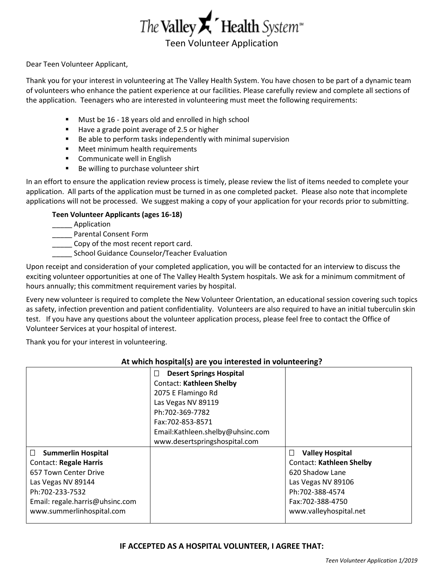

Dear Teen Volunteer Applicant,

Thank you for your interest in volunteering at The Valley Health System. You have chosen to be part of a dynamic team of volunteers who enhance the patient experience at our facilities. Please carefully review and complete all sections of the application. Teenagers who are interested in volunteering must meet the following requirements:

- Must be 16 18 years old and enrolled in high school
- Have a grade point average of 2.5 or higher
- Be able to perform tasks independently with minimal supervision
- Meet minimum health requirements
- Communicate well in English
- Be willing to purchase volunteer shirt

In an effort to ensure the application review process is timely, please review the list of items needed to complete your application. All parts of the application must be turned in as one completed packet. Please also note that incomplete applications will not be processed. We suggest making a copy of your application for your records prior to submitting.

#### **Teen Volunteer Applicants (ages 16-18)**

\_\_\_\_\_ Application

\_\_\_\_\_ Parental Consent Form

Copy of the most recent report card.

School Guidance Counselor/Teacher Evaluation

Upon receipt and consideration of your completed application, you will be contacted for an interview to discuss the exciting volunteer opportunities at one of The Valley Health System hospitals. We ask for a minimum commitment of hours annually; this commitment requirement varies by hospital.

Every new volunteer is required to complete the New Volunteer Orientation, an educational session covering such topics as safety, infection prevention and patient confidentiality. Volunteers are also required to have an initial tuberculin skin test. If you have any questions about the volunteer application process, please feel free to contact the Office of Volunteer Services at your hospital of interest.

Thank you for your interest in volunteering.

#### **At which hospital(s) are you interested in volunteering? Desert Springs Hospital** Contact: **Kathleen Shelby** 2075 E Flamingo Rd Las Vegas NV 89119 Ph:702-369-7782 Fax:702-853-8571 Email:Kathleen.shelby@uhsinc.com www.desertspringshospital.com **Summerlin Hospital** Contact: **Regale Harris** 657 Town Center Drive Las Vegas NV 89144 Ph:702-233-7532 Email: regale.harris@uhsinc.com www.summerlinhospital.com **Valley Hospital** Contact: **Kathleen Shelby** 620 Shadow Lane Las Vegas NV 89106 Ph:702-388-4574 Fax:702-388-4750 www.valleyhospital.net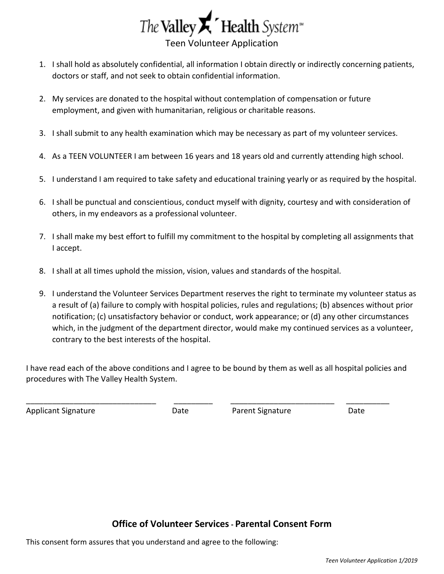

- 1. I shall hold as absolutely confidential, all information I obtain directly or indirectly concerning patients, doctors or staff, and not seek to obtain confidential information.
- 2. My services are donated to the hospital without contemplation of compensation or future employment, and given with humanitarian, religious or charitable reasons.
- 3. I shall submit to any health examination which may be necessary as part of my volunteer services.
- 4. As a TEEN VOLUNTEER I am between 16 years and 18 years old and currently attending high school.
- 5. I understand I am required to take safety and educational training yearly or as required by the hospital.
- 6. I shall be punctual and conscientious, conduct myself with dignity, courtesy and with consideration of others, in my endeavors as a professional volunteer.
- 7. I shall make my best effort to fulfill my commitment to the hospital by completing all assignments that I accept.
- 8. I shall at all times uphold the mission, vision, values and standards of the hospital.
- 9. I understand the Volunteer Services Department reserves the right to terminate my volunteer status as a result of (a) failure to comply with hospital policies, rules and regulations; (b) absences without prior notification; (c) unsatisfactory behavior or conduct, work appearance; or (d) any other circumstances which, in the judgment of the department director, would make my continued services as a volunteer, contrary to the best interests of the hospital.

I have read each of the above conditions and I agree to be bound by them as well as all hospital policies and procedures with The Valley Health System.

\_\_\_\_\_\_\_\_\_\_\_\_\_\_\_\_\_\_\_\_\_\_\_\_\_\_\_\_\_\_ \_\_\_\_\_\_\_\_\_ \_\_\_\_\_\_\_\_\_\_\_\_\_\_\_\_\_\_\_\_\_\_\_\_ \_\_\_\_\_\_\_\_\_\_

Applicant Signature Date Parent Signature Date

# **Office of Volunteer Services- Parental Consent Form**

This consent form assures that you understand and agree to the following: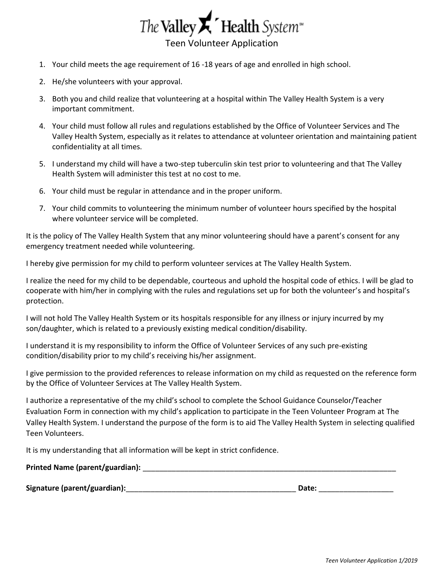

- 1. Your child meets the age requirement of 16 -18 years of age and enrolled in high school.
- 2. He/she volunteers with your approval.
- 3. Both you and child realize that volunteering at a hospital within The Valley Health System is a very important commitment.
- 4. Your child must follow all rules and regulations established by the Office of Volunteer Services and The Valley Health System, especially as it relates to attendance at volunteer orientation and maintaining patient confidentiality at all times.
- 5. I understand my child will have a two-step tuberculin skin test prior to volunteering and that The Valley Health System will administer this test at no cost to me.
- 6. Your child must be regular in attendance and in the proper uniform.
- 7. Your child commits to volunteering the minimum number of volunteer hours specified by the hospital where volunteer service will be completed.

It is the policy of The Valley Health System that any minor volunteering should have a parent's consent for any emergency treatment needed while volunteering.

I hereby give permission for my child to perform volunteer services at The Valley Health System.

I realize the need for my child to be dependable, courteous and uphold the hospital code of ethics. I will be glad to cooperate with him/her in complying with the rules and regulations set up for both the volunteer's and hospital's protection.

I will not hold The Valley Health System or its hospitals responsible for any illness or injury incurred by my son/daughter, which is related to a previously existing medical condition/disability.

I understand it is my responsibility to inform the Office of Volunteer Services of any such pre-existing condition/disability prior to my child's receiving his/her assignment.

I give permission to the provided references to release information on my child as requested on the reference form by the Office of Volunteer Services at The Valley Health System.

I authorize a representative of the my child's school to complete the School Guidance Counselor/Teacher Evaluation Form in connection with my child's application to participate in the Teen Volunteer Program at The Valley Health System. I understand the purpose of the form is to aid The Valley Health System in selecting qualified Teen Volunteers.

It is my understanding that all information will be kept in strict confidence.

**Printed Name (parent/guardian):** \_\_\_\_\_\_\_\_\_\_\_\_\_\_\_\_\_\_\_\_\_\_\_\_\_\_\_\_\_\_\_\_\_\_\_\_\_\_\_\_\_\_\_\_\_\_\_\_\_\_\_\_\_\_\_\_\_\_\_\_\_

**Signature (parent/guardian):**\_\_\_\_\_\_\_\_\_\_\_\_\_\_\_\_\_\_\_\_\_\_\_\_\_\_\_\_\_\_\_\_\_\_\_\_\_\_\_\_\_ **Date:** \_\_\_\_\_\_\_\_\_\_\_\_\_\_\_\_\_\_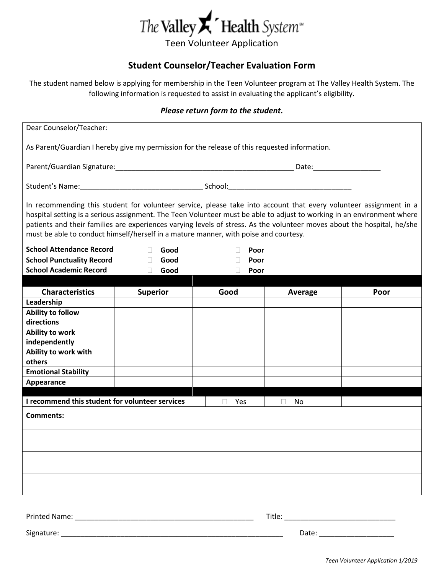

# **Student Counselor/Teacher Evaluation Form**

The student named below is applying for membership in the Teen Volunteer program at The Valley Health System. The following information is requested to assist in evaluating the applicant's eligibility.

#### *Please return form to the student.*

| Dear Counselor/Teacher:                                                                                                                                                                                                                                                                                                                                                                                                                                        |                        |                        |              |      |  |
|----------------------------------------------------------------------------------------------------------------------------------------------------------------------------------------------------------------------------------------------------------------------------------------------------------------------------------------------------------------------------------------------------------------------------------------------------------------|------------------------|------------------------|--------------|------|--|
| As Parent/Guardian I hereby give my permission for the release of this requested information.                                                                                                                                                                                                                                                                                                                                                                  |                        |                        |              |      |  |
|                                                                                                                                                                                                                                                                                                                                                                                                                                                                |                        |                        |              |      |  |
|                                                                                                                                                                                                                                                                                                                                                                                                                                                                |                        |                        |              |      |  |
| In recommending this student for volunteer service, please take into account that every volunteer assignment in a<br>hospital setting is a serious assignment. The Teen Volunteer must be able to adjust to working in an environment where<br>patients and their families are experiences varying levels of stress. As the volunteer moves about the hospital, he/she<br>must be able to conduct himself/herself in a mature manner, with poise and courtesy. |                        |                        |              |      |  |
| <b>School Attendance Record</b>                                                                                                                                                                                                                                                                                                                                                                                                                                | $\Box$<br>Good         | Poor<br>$\mathbb{R}^n$ |              |      |  |
| <b>School Punctuality Record</b>                                                                                                                                                                                                                                                                                                                                                                                                                               | Good<br>$\mathbb{R}^n$ | Poor                   |              |      |  |
| <b>School Academic Record</b>                                                                                                                                                                                                                                                                                                                                                                                                                                  | Good<br>$\mathbb{R}^n$ | Poor                   |              |      |  |
| <b>Characteristics</b>                                                                                                                                                                                                                                                                                                                                                                                                                                         | <b>Superior</b>        | Good                   |              | Poor |  |
| Leadership                                                                                                                                                                                                                                                                                                                                                                                                                                                     |                        |                        | Average      |      |  |
| Ability to follow                                                                                                                                                                                                                                                                                                                                                                                                                                              |                        |                        |              |      |  |
| directions                                                                                                                                                                                                                                                                                                                                                                                                                                                     |                        |                        |              |      |  |
| Ability to work                                                                                                                                                                                                                                                                                                                                                                                                                                                |                        |                        |              |      |  |
| independently                                                                                                                                                                                                                                                                                                                                                                                                                                                  |                        |                        |              |      |  |
| Ability to work with                                                                                                                                                                                                                                                                                                                                                                                                                                           |                        |                        |              |      |  |
| others                                                                                                                                                                                                                                                                                                                                                                                                                                                         |                        |                        |              |      |  |
| <b>Emotional Stability</b>                                                                                                                                                                                                                                                                                                                                                                                                                                     |                        |                        |              |      |  |
| Appearance                                                                                                                                                                                                                                                                                                                                                                                                                                                     |                        |                        |              |      |  |
| I recommend this student for volunteer services                                                                                                                                                                                                                                                                                                                                                                                                                |                        | Yes                    | $\Box$<br>No |      |  |
| <b>Comments:</b>                                                                                                                                                                                                                                                                                                                                                                                                                                               |                        |                        |              |      |  |
|                                                                                                                                                                                                                                                                                                                                                                                                                                                                |                        |                        |              |      |  |
|                                                                                                                                                                                                                                                                                                                                                                                                                                                                |                        |                        |              |      |  |
|                                                                                                                                                                                                                                                                                                                                                                                                                                                                |                        |                        |              |      |  |
|                                                                                                                                                                                                                                                                                                                                                                                                                                                                |                        |                        |              |      |  |
|                                                                                                                                                                                                                                                                                                                                                                                                                                                                |                        |                        |              |      |  |

Printed Name: \_\_\_\_\_\_\_\_\_\_\_\_\_\_\_\_\_\_\_\_\_\_\_\_\_\_\_\_\_\_\_\_\_\_\_\_\_\_\_\_\_\_\_\_\_ Title: \_\_\_\_\_\_\_\_\_\_\_\_\_\_\_\_\_\_\_\_\_\_\_\_\_\_\_\_

Signature: \_\_\_\_\_\_\_\_\_\_\_\_\_\_\_\_\_\_\_\_\_\_\_\_\_\_\_\_\_\_\_\_\_\_\_\_\_\_\_\_\_\_\_\_\_\_\_\_\_\_\_\_\_\_\_\_ Date: \_\_\_\_\_\_\_\_\_\_\_\_\_\_\_\_\_\_\_

*Teen Volunteer Application 1/2019*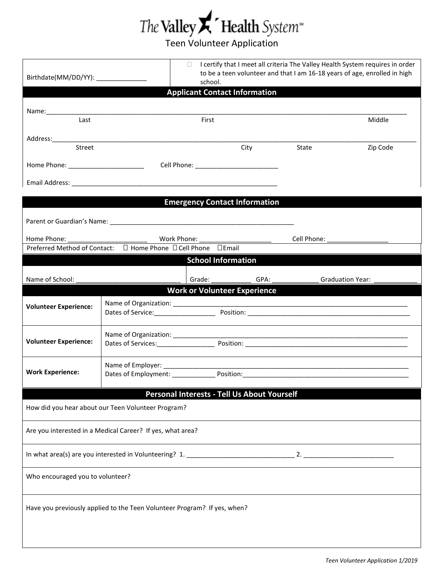

| Birthdate(MM/DD/YY): ______________   |                                                                          | П.<br>school.                                                                                                                                                                                                                  |      |                       | I certify that I meet all criteria The Valley Health System requires in order<br>to be a teen volunteer and that I am 16-18 years of age, enrolled in high |
|---------------------------------------|--------------------------------------------------------------------------|--------------------------------------------------------------------------------------------------------------------------------------------------------------------------------------------------------------------------------|------|-----------------------|------------------------------------------------------------------------------------------------------------------------------------------------------------|
|                                       |                                                                          | <b>Applicant Contact Information</b>                                                                                                                                                                                           |      |                       |                                                                                                                                                            |
| Last                                  |                                                                          | First                                                                                                                                                                                                                          |      |                       | Middle                                                                                                                                                     |
|                                       |                                                                          |                                                                                                                                                                                                                                |      |                       |                                                                                                                                                            |
| Street                                |                                                                          |                                                                                                                                                                                                                                | City | State                 | Zip Code                                                                                                                                                   |
| Home Phone: _________________________ |                                                                          |                                                                                                                                                                                                                                |      |                       |                                                                                                                                                            |
|                                       |                                                                          |                                                                                                                                                                                                                                |      |                       |                                                                                                                                                            |
|                                       |                                                                          | <b>Emergency Contact Information</b>                                                                                                                                                                                           |      |                       |                                                                                                                                                            |
|                                       |                                                                          |                                                                                                                                                                                                                                |      |                       |                                                                                                                                                            |
|                                       |                                                                          |                                                                                                                                                                                                                                |      |                       |                                                                                                                                                            |
| Home Phone:                           | Preferred Method of Contact: □ Home Phone □ Cell Phone □ Email           | Work Phone:                                                                                                                                                                                                                    |      | Cell Phone:           |                                                                                                                                                            |
|                                       |                                                                          | <b>School Information</b>                                                                                                                                                                                                      |      |                       |                                                                                                                                                            |
| Name of School:                       |                                                                          | Grade: The Contract of the Contract of the Contract of the Contract of the Contract of the Contract of the Contract of the Contract of the Contract of the Contract of the Contract of the Contract of the Contract of the Con |      | GPA: Graduation Year: |                                                                                                                                                            |
|                                       |                                                                          | <b>Work or Volunteer Experience</b>                                                                                                                                                                                            |      |                       |                                                                                                                                                            |
| <b>Volunteer Experience:</b>          |                                                                          |                                                                                                                                                                                                                                |      |                       |                                                                                                                                                            |
| <b>Volunteer Experience:</b>          |                                                                          |                                                                                                                                                                                                                                |      |                       |                                                                                                                                                            |
| <b>Work Experience:</b>               |                                                                          |                                                                                                                                                                                                                                |      |                       |                                                                                                                                                            |
|                                       |                                                                          | Personal Interests - Tell Us About Yourself                                                                                                                                                                                    |      |                       |                                                                                                                                                            |
|                                       | How did you hear about our Teen Volunteer Program?                       |                                                                                                                                                                                                                                |      |                       |                                                                                                                                                            |
|                                       | Are you interested in a Medical Career? If yes, what area?               |                                                                                                                                                                                                                                |      |                       |                                                                                                                                                            |
|                                       |                                                                          |                                                                                                                                                                                                                                |      |                       |                                                                                                                                                            |
| Who encouraged you to volunteer?      |                                                                          |                                                                                                                                                                                                                                |      |                       |                                                                                                                                                            |
|                                       | Have you previously applied to the Teen Volunteer Program? If yes, when? |                                                                                                                                                                                                                                |      |                       |                                                                                                                                                            |